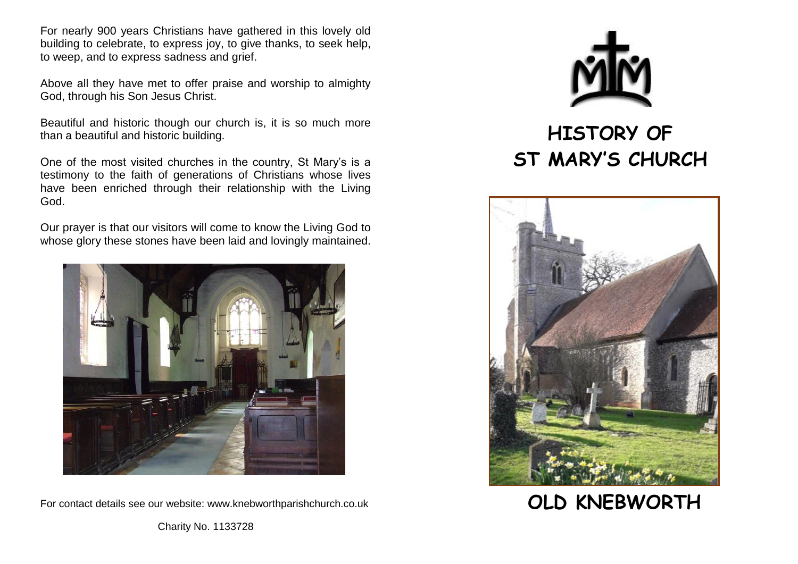For nearly 900 years Christians have gathered in this lovely old building to celebrate, to express joy, to give thanks, to seek help, to weep, and to express sadness and grief.

Above all they have met to offer praise and worship to almighty God, through his Son Jesus Christ.

Beautiful and historic though our church is, it is so much more than a beautiful and historic building.

One of the most visited churches in the country, St Mary's is a testimony to the faith of generations of Christians whose lives have been enriched through their relationship with the Living God.

Our prayer is that our visitors will come to know the Living God to whose glory these stones have been laid and lovingly maintained.



For contact details see our website: [www.knebworthparishchurch.co.uk](http://www.knebworthparishchurch.co.uk/)



## **HISTORY OF ST MARY'S CHURCH**



## **OLD KNEBWORTH**

Charity No. 1133728